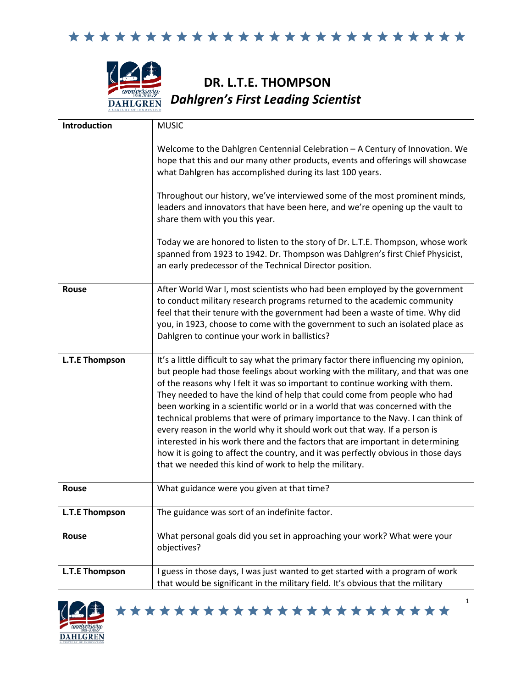



## **DR. L.T.E. THOMPSON** *Dahlgren's First Leading Scientist*

| <b>Introduction</b>   | <b>MUSIC</b>                                                                                                                                                                                                                                                                                                                                                                                                                                                                                                                                                                                                                                                                                                                                                                                                        |
|-----------------------|---------------------------------------------------------------------------------------------------------------------------------------------------------------------------------------------------------------------------------------------------------------------------------------------------------------------------------------------------------------------------------------------------------------------------------------------------------------------------------------------------------------------------------------------------------------------------------------------------------------------------------------------------------------------------------------------------------------------------------------------------------------------------------------------------------------------|
|                       | Welcome to the Dahlgren Centennial Celebration - A Century of Innovation. We<br>hope that this and our many other products, events and offerings will showcase<br>what Dahlgren has accomplished during its last 100 years.                                                                                                                                                                                                                                                                                                                                                                                                                                                                                                                                                                                         |
|                       | Throughout our history, we've interviewed some of the most prominent minds,<br>leaders and innovators that have been here, and we're opening up the vault to<br>share them with you this year.                                                                                                                                                                                                                                                                                                                                                                                                                                                                                                                                                                                                                      |
|                       | Today we are honored to listen to the story of Dr. L.T.E. Thompson, whose work<br>spanned from 1923 to 1942. Dr. Thompson was Dahlgren's first Chief Physicist,<br>an early predecessor of the Technical Director position.                                                                                                                                                                                                                                                                                                                                                                                                                                                                                                                                                                                         |
| <b>Rouse</b>          | After World War I, most scientists who had been employed by the government<br>to conduct military research programs returned to the academic community<br>feel that their tenure with the government had been a waste of time. Why did<br>you, in 1923, choose to come with the government to such an isolated place as<br>Dahlgren to continue your work in ballistics?                                                                                                                                                                                                                                                                                                                                                                                                                                            |
| <b>L.T.E Thompson</b> | It's a little difficult to say what the primary factor there influencing my opinion,<br>but people had those feelings about working with the military, and that was one<br>of the reasons why I felt it was so important to continue working with them.<br>They needed to have the kind of help that could come from people who had<br>been working in a scientific world or in a world that was concerned with the<br>technical problems that were of primary importance to the Navy. I can think of<br>every reason in the world why it should work out that way. If a person is<br>interested in his work there and the factors that are important in determining<br>how it is going to affect the country, and it was perfectly obvious in those days<br>that we needed this kind of work to help the military. |
| <b>Rouse</b>          | What guidance were you given at that time?                                                                                                                                                                                                                                                                                                                                                                                                                                                                                                                                                                                                                                                                                                                                                                          |
| L.T.E Thompson        | The guidance was sort of an indefinite factor.                                                                                                                                                                                                                                                                                                                                                                                                                                                                                                                                                                                                                                                                                                                                                                      |
| Rouse                 | What personal goals did you set in approaching your work? What were your<br>objectives?                                                                                                                                                                                                                                                                                                                                                                                                                                                                                                                                                                                                                                                                                                                             |
| L.T.E Thompson        | I guess in those days, I was just wanted to get started with a program of work<br>that would be significant in the military field. It's obvious that the military                                                                                                                                                                                                                                                                                                                                                                                                                                                                                                                                                                                                                                                   |

\*\*\*\*\*\*\*\*\*\*\*\*\*\*\*\*\*\*\*\*\*\*\*

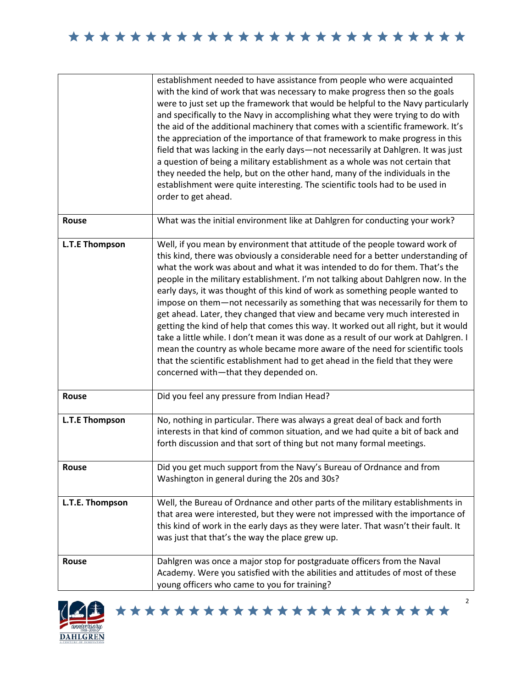|                       | establishment needed to have assistance from people who were acquainted<br>with the kind of work that was necessary to make progress then so the goals<br>were to just set up the framework that would be helpful to the Navy particularly<br>and specifically to the Navy in accomplishing what they were trying to do with<br>the aid of the additional machinery that comes with a scientific framework. It's<br>the appreciation of the importance of that framework to make progress in this<br>field that was lacking in the early days-not necessarily at Dahlgren. It was just<br>a question of being a military establishment as a whole was not certain that<br>they needed the help, but on the other hand, many of the individuals in the<br>establishment were quite interesting. The scientific tools had to be used in<br>order to get ahead.                                                                                                                 |
|-----------------------|------------------------------------------------------------------------------------------------------------------------------------------------------------------------------------------------------------------------------------------------------------------------------------------------------------------------------------------------------------------------------------------------------------------------------------------------------------------------------------------------------------------------------------------------------------------------------------------------------------------------------------------------------------------------------------------------------------------------------------------------------------------------------------------------------------------------------------------------------------------------------------------------------------------------------------------------------------------------------|
| <b>Rouse</b>          | What was the initial environment like at Dahlgren for conducting your work?                                                                                                                                                                                                                                                                                                                                                                                                                                                                                                                                                                                                                                                                                                                                                                                                                                                                                                  |
| <b>L.T.E Thompson</b> | Well, if you mean by environment that attitude of the people toward work of<br>this kind, there was obviously a considerable need for a better understanding of<br>what the work was about and what it was intended to do for them. That's the<br>people in the military establishment. I'm not talking about Dahlgren now. In the<br>early days, it was thought of this kind of work as something people wanted to<br>impose on them-not necessarily as something that was necessarily for them to<br>get ahead. Later, they changed that view and became very much interested in<br>getting the kind of help that comes this way. It worked out all right, but it would<br>take a little while. I don't mean it was done as a result of our work at Dahlgren. I<br>mean the country as whole became more aware of the need for scientific tools<br>that the scientific establishment had to get ahead in the field that they were<br>concerned with-that they depended on. |
| <b>Rouse</b>          | Did you feel any pressure from Indian Head?                                                                                                                                                                                                                                                                                                                                                                                                                                                                                                                                                                                                                                                                                                                                                                                                                                                                                                                                  |
| <b>L.T.E Thompson</b> | No, nothing in particular. There was always a great deal of back and forth<br>interests in that kind of common situation, and we had quite a bit of back and<br>forth discussion and that sort of thing but not many formal meetings.                                                                                                                                                                                                                                                                                                                                                                                                                                                                                                                                                                                                                                                                                                                                        |
| Rouse                 | Did you get much support from the Navy's Bureau of Ordnance and from<br>Washington in general during the 20s and 30s?                                                                                                                                                                                                                                                                                                                                                                                                                                                                                                                                                                                                                                                                                                                                                                                                                                                        |
| L.T.E. Thompson       | Well, the Bureau of Ordnance and other parts of the military establishments in<br>that area were interested, but they were not impressed with the importance of<br>this kind of work in the early days as they were later. That wasn't their fault. It<br>was just that that's the way the place grew up.                                                                                                                                                                                                                                                                                                                                                                                                                                                                                                                                                                                                                                                                    |
| <b>Rouse</b>          | Dahlgren was once a major stop for postgraduate officers from the Naval<br>Academy. Were you satisfied with the abilities and attitudes of most of these<br>young officers who came to you for training?                                                                                                                                                                                                                                                                                                                                                                                                                                                                                                                                                                                                                                                                                                                                                                     |



\*\*\*\*\*\*\*\*\*\*\*\*\*\*\*\*\*\*\*\*\*\*\*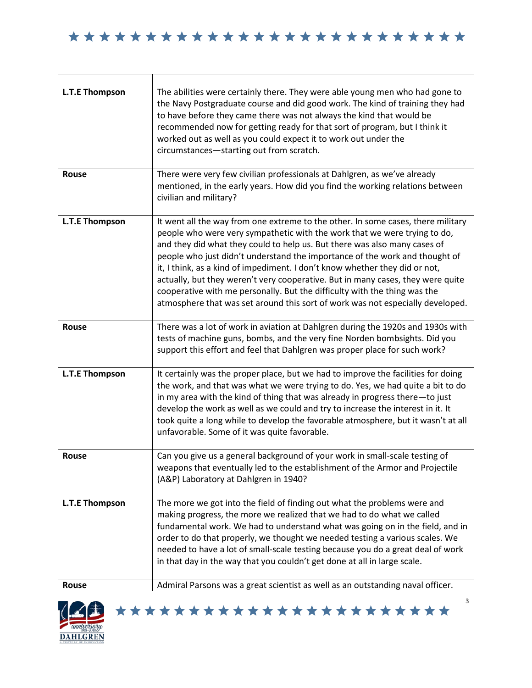| <b>L.T.E Thompson</b> | The abilities were certainly there. They were able young men who had gone to<br>the Navy Postgraduate course and did good work. The kind of training they had<br>to have before they came there was not always the kind that would be<br>recommended now for getting ready for that sort of program, but I think it<br>worked out as well as you could expect it to work out under the<br>circumstances-starting out from scratch.                                                                                                                                                                                                                         |
|-----------------------|------------------------------------------------------------------------------------------------------------------------------------------------------------------------------------------------------------------------------------------------------------------------------------------------------------------------------------------------------------------------------------------------------------------------------------------------------------------------------------------------------------------------------------------------------------------------------------------------------------------------------------------------------------|
| Rouse                 | There were very few civilian professionals at Dahlgren, as we've already<br>mentioned, in the early years. How did you find the working relations between<br>civilian and military?                                                                                                                                                                                                                                                                                                                                                                                                                                                                        |
| <b>L.T.E Thompson</b> | It went all the way from one extreme to the other. In some cases, there military<br>people who were very sympathetic with the work that we were trying to do,<br>and they did what they could to help us. But there was also many cases of<br>people who just didn't understand the importance of the work and thought of<br>it, I think, as a kind of impediment. I don't know whether they did or not,<br>actually, but they weren't very cooperative. But in many cases, they were quite<br>cooperative with me personally. But the difficulty with the thing was the<br>atmosphere that was set around this sort of work was not especially developed. |
| Rouse                 | There was a lot of work in aviation at Dahlgren during the 1920s and 1930s with<br>tests of machine guns, bombs, and the very fine Norden bombsights. Did you<br>support this effort and feel that Dahlgren was proper place for such work?                                                                                                                                                                                                                                                                                                                                                                                                                |
| <b>L.T.E Thompson</b> | It certainly was the proper place, but we had to improve the facilities for doing<br>the work, and that was what we were trying to do. Yes, we had quite a bit to do<br>in my area with the kind of thing that was already in progress there-to just<br>develop the work as well as we could and try to increase the interest in it. It<br>took quite a long while to develop the favorable atmosphere, but it wasn't at all<br>unfavorable. Some of it was quite favorable.                                                                                                                                                                               |
| Rouse                 | Can you give us a general background of your work in small-scale testing of<br>weapons that eventually led to the establishment of the Armor and Projectile<br>(A&P) Laboratory at Dahlgren in 1940?                                                                                                                                                                                                                                                                                                                                                                                                                                                       |
| <b>L.T.E Thompson</b> | The more we got into the field of finding out what the problems were and<br>making progress, the more we realized that we had to do what we called<br>fundamental work. We had to understand what was going on in the field, and in<br>order to do that properly, we thought we needed testing a various scales. We<br>needed to have a lot of small-scale testing because you do a great deal of work<br>in that day in the way that you couldn't get done at all in large scale.                                                                                                                                                                         |
| Rouse                 | Admiral Parsons was a great scientist as well as an outstanding naval officer.                                                                                                                                                                                                                                                                                                                                                                                                                                                                                                                                                                             |



\*\*\*\*\*\*\*\*\*\*\*\*\*\*\*\*\*\*\*\*\*\*\*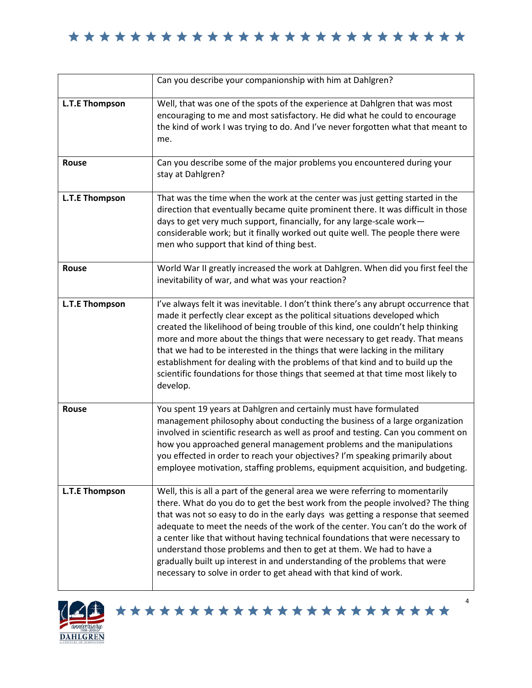|                       | Can you describe your companionship with him at Dahlgren?                                                                                                                                                                                                                                                                                                                                                                                                                                                                                                                                                                                       |
|-----------------------|-------------------------------------------------------------------------------------------------------------------------------------------------------------------------------------------------------------------------------------------------------------------------------------------------------------------------------------------------------------------------------------------------------------------------------------------------------------------------------------------------------------------------------------------------------------------------------------------------------------------------------------------------|
| <b>L.T.E Thompson</b> | Well, that was one of the spots of the experience at Dahlgren that was most<br>encouraging to me and most satisfactory. He did what he could to encourage<br>the kind of work I was trying to do. And I've never forgotten what that meant to<br>me.                                                                                                                                                                                                                                                                                                                                                                                            |
| Rouse                 | Can you describe some of the major problems you encountered during your<br>stay at Dahlgren?                                                                                                                                                                                                                                                                                                                                                                                                                                                                                                                                                    |
| <b>L.T.E Thompson</b> | That was the time when the work at the center was just getting started in the<br>direction that eventually became quite prominent there. It was difficult in those<br>days to get very much support, financially, for any large-scale work-<br>considerable work; but it finally worked out quite well. The people there were<br>men who support that kind of thing best.                                                                                                                                                                                                                                                                       |
| Rouse                 | World War II greatly increased the work at Dahlgren. When did you first feel the<br>inevitability of war, and what was your reaction?                                                                                                                                                                                                                                                                                                                                                                                                                                                                                                           |
| <b>L.T.E Thompson</b> | I've always felt it was inevitable. I don't think there's any abrupt occurrence that<br>made it perfectly clear except as the political situations developed which<br>created the likelihood of being trouble of this kind, one couldn't help thinking<br>more and more about the things that were necessary to get ready. That means<br>that we had to be interested in the things that were lacking in the military<br>establishment for dealing with the problems of that kind and to build up the<br>scientific foundations for those things that seemed at that time most likely to<br>develop.                                            |
| Rouse                 | You spent 19 years at Dahlgren and certainly must have formulated<br>management philosophy about conducting the business of a large organization<br>involved in scientific research as well as proof and testing. Can you comment on<br>how you approached general management problems and the manipulations<br>you effected in order to reach your objectives? I'm speaking primarily about<br>employee motivation, staffing problems, equipment acquisition, and budgeting.                                                                                                                                                                   |
| <b>L.T.E Thompson</b> | Well, this is all a part of the general area we were referring to momentarily<br>there. What do you do to get the best work from the people involved? The thing<br>that was not so easy to do in the early days was getting a response that seemed<br>adequate to meet the needs of the work of the center. You can't do the work of<br>a center like that without having technical foundations that were necessary to<br>understand those problems and then to get at them. We had to have a<br>gradually built up interest in and understanding of the problems that were<br>necessary to solve in order to get ahead with that kind of work. |



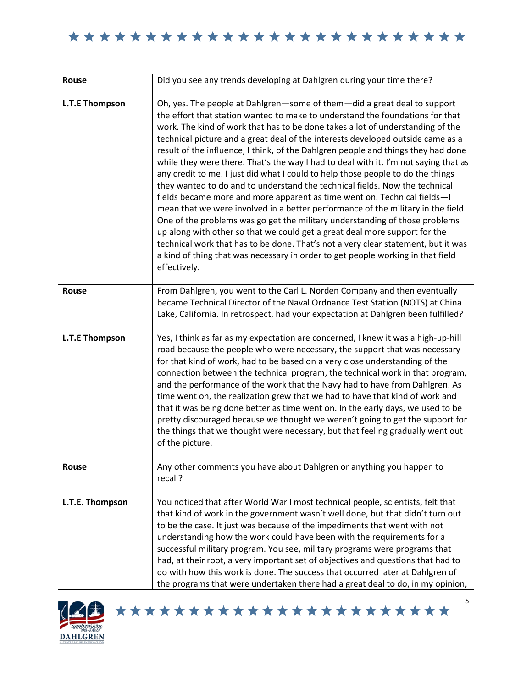| <b>Rouse</b>          | Did you see any trends developing at Dahlgren during your time there?                                                                                                                                                                                                                                                                                                                                                                                                                                                                                                                                                                                                                                                                                                                                                                                                                                                                                                                                                                                                                                                                                                                             |
|-----------------------|---------------------------------------------------------------------------------------------------------------------------------------------------------------------------------------------------------------------------------------------------------------------------------------------------------------------------------------------------------------------------------------------------------------------------------------------------------------------------------------------------------------------------------------------------------------------------------------------------------------------------------------------------------------------------------------------------------------------------------------------------------------------------------------------------------------------------------------------------------------------------------------------------------------------------------------------------------------------------------------------------------------------------------------------------------------------------------------------------------------------------------------------------------------------------------------------------|
| L.T.E Thompson        | Oh, yes. The people at Dahlgren-some of them-did a great deal to support<br>the effort that station wanted to make to understand the foundations for that<br>work. The kind of work that has to be done takes a lot of understanding of the<br>technical picture and a great deal of the interests developed outside came as a<br>result of the influence, I think, of the Dahlgren people and things they had done<br>while they were there. That's the way I had to deal with it. I'm not saying that as<br>any credit to me. I just did what I could to help those people to do the things<br>they wanted to do and to understand the technical fields. Now the technical<br>fields became more and more apparent as time went on. Technical fields-I<br>mean that we were involved in a better performance of the military in the field.<br>One of the problems was go get the military understanding of those problems<br>up along with other so that we could get a great deal more support for the<br>technical work that has to be done. That's not a very clear statement, but it was<br>a kind of thing that was necessary in order to get people working in that field<br>effectively. |
| <b>Rouse</b>          | From Dahlgren, you went to the Carl L. Norden Company and then eventually<br>became Technical Director of the Naval Ordnance Test Station (NOTS) at China<br>Lake, California. In retrospect, had your expectation at Dahlgren been fulfilled?                                                                                                                                                                                                                                                                                                                                                                                                                                                                                                                                                                                                                                                                                                                                                                                                                                                                                                                                                    |
| <b>L.T.E Thompson</b> | Yes, I think as far as my expectation are concerned, I knew it was a high-up-hill<br>road because the people who were necessary, the support that was necessary<br>for that kind of work, had to be based on a very close understanding of the<br>connection between the technical program, the technical work in that program,<br>and the performance of the work that the Navy had to have from Dahlgren. As<br>time went on, the realization grew that we had to have that kind of work and<br>that it was being done better as time went on. In the early days, we used to be<br>pretty discouraged because we thought we weren't going to get the support for<br>the things that we thought were necessary, but that feeling gradually went out<br>of the picture.                                                                                                                                                                                                                                                                                                                                                                                                                           |
| Rouse                 | Any other comments you have about Dahlgren or anything you happen to<br>recall?                                                                                                                                                                                                                                                                                                                                                                                                                                                                                                                                                                                                                                                                                                                                                                                                                                                                                                                                                                                                                                                                                                                   |
| L.T.E. Thompson       | You noticed that after World War I most technical people, scientists, felt that<br>that kind of work in the government wasn't well done, but that didn't turn out<br>to be the case. It just was because of the impediments that went with not<br>understanding how the work could have been with the requirements for a<br>successful military program. You see, military programs were programs that<br>had, at their root, a very important set of objectives and questions that had to<br>do with how this work is done. The success that occurred later at Dahlgren of<br>the programs that were undertaken there had a great deal to do, in my opinion,                                                                                                                                                                                                                                                                                                                                                                                                                                                                                                                                     |



\*\*\*\*\*\*\*\*\*\*\*\*\*\*\*\*\*\*\*\*\*\*\*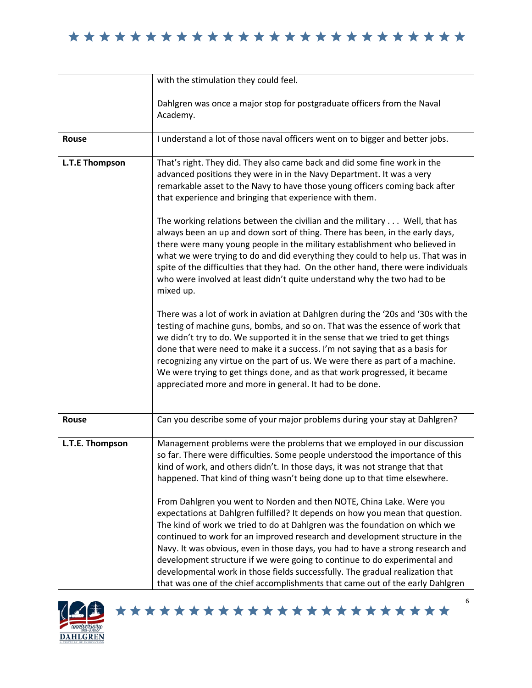|                       | with the stimulation they could feel.                                                                                                                                                                                                                                                                                                                                                                                                                                                                                                                                                                                                                                                                                                                                                                                                                                                                                                                                                                                                                                                                                                                                                                                                                                                                                                                                      |
|-----------------------|----------------------------------------------------------------------------------------------------------------------------------------------------------------------------------------------------------------------------------------------------------------------------------------------------------------------------------------------------------------------------------------------------------------------------------------------------------------------------------------------------------------------------------------------------------------------------------------------------------------------------------------------------------------------------------------------------------------------------------------------------------------------------------------------------------------------------------------------------------------------------------------------------------------------------------------------------------------------------------------------------------------------------------------------------------------------------------------------------------------------------------------------------------------------------------------------------------------------------------------------------------------------------------------------------------------------------------------------------------------------------|
|                       | Dahlgren was once a major stop for postgraduate officers from the Naval<br>Academy.                                                                                                                                                                                                                                                                                                                                                                                                                                                                                                                                                                                                                                                                                                                                                                                                                                                                                                                                                                                                                                                                                                                                                                                                                                                                                        |
| Rouse                 | I understand a lot of those naval officers went on to bigger and better jobs.                                                                                                                                                                                                                                                                                                                                                                                                                                                                                                                                                                                                                                                                                                                                                                                                                                                                                                                                                                                                                                                                                                                                                                                                                                                                                              |
| <b>L.T.E Thompson</b> | That's right. They did. They also came back and did some fine work in the<br>advanced positions they were in in the Navy Department. It was a very<br>remarkable asset to the Navy to have those young officers coming back after<br>that experience and bringing that experience with them.<br>The working relations between the civilian and the military Well, that has<br>always been an up and down sort of thing. There has been, in the early days,<br>there were many young people in the military establishment who believed in<br>what we were trying to do and did everything they could to help us. That was in<br>spite of the difficulties that they had. On the other hand, there were individuals<br>who were involved at least didn't quite understand why the two had to be<br>mixed up.<br>There was a lot of work in aviation at Dahlgren during the '20s and '30s with the<br>testing of machine guns, bombs, and so on. That was the essence of work that<br>we didn't try to do. We supported it in the sense that we tried to get things<br>done that were need to make it a success. I'm not saying that as a basis for<br>recognizing any virtue on the part of us. We were there as part of a machine.<br>We were trying to get things done, and as that work progressed, it became<br>appreciated more and more in general. It had to be done. |
| Rouse                 | Can you describe some of your major problems during your stay at Dahlgren?                                                                                                                                                                                                                                                                                                                                                                                                                                                                                                                                                                                                                                                                                                                                                                                                                                                                                                                                                                                                                                                                                                                                                                                                                                                                                                 |
| L.T.E. Thompson       | Management problems were the problems that we employed in our discussion<br>so far. There were difficulties. Some people understood the importance of this<br>kind of work, and others didn't. In those days, it was not strange that that<br>happened. That kind of thing wasn't being done up to that time elsewhere.<br>From Dahlgren you went to Norden and then NOTE, China Lake. Were you<br>expectations at Dahlgren fulfilled? It depends on how you mean that question.<br>The kind of work we tried to do at Dahlgren was the foundation on which we<br>continued to work for an improved research and development structure in the<br>Navy. It was obvious, even in those days, you had to have a strong research and<br>development structure if we were going to continue to do experimental and<br>developmental work in those fields successfully. The gradual realization that<br>that was one of the chief accomplishments that came out of the early Dahlgren                                                                                                                                                                                                                                                                                                                                                                                            |



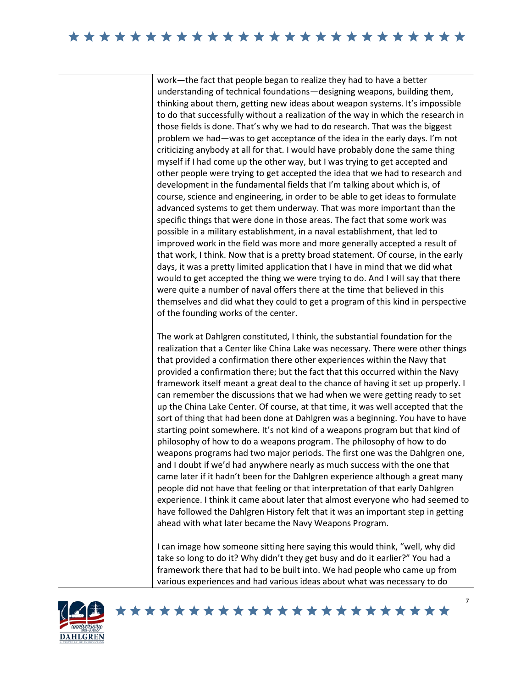work—the fact that people began to realize they had to have a better understanding of technical foundations—designing weapons, building them, thinking about them, getting new ideas about weapon systems. It's impossible to do that successfully without a realization of the way in which the research in those fields is done. That's why we had to do research. That was the biggest problem we had—was to get acceptance of the idea in the early days. I'm not criticizing anybody at all for that. I would have probably done the same thing myself if I had come up the other way, but I was trying to get accepted and other people were trying to get accepted the idea that we had to research and development in the fundamental fields that I'm talking about which is, of course, science and engineering, in order to be able to get ideas to formulate advanced systems to get them underway. That was more important than the specific things that were done in those areas. The fact that some work was possible in a military establishment, in a naval establishment, that led to improved work in the field was more and more generally accepted a result of that work, I think. Now that is a pretty broad statement. Of course, in the early days, it was a pretty limited application that I have in mind that we did what would to get accepted the thing we were trying to do. And I will say that there were quite a number of naval offers there at the time that believed in this themselves and did what they could to get a program of this kind in perspective of the founding works of the center.

The work at Dahlgren constituted, I think, the substantial foundation for the realization that a Center like China Lake was necessary. There were other things that provided a confirmation there other experiences within the Navy that provided a confirmation there; but the fact that this occurred within the Navy framework itself meant a great deal to the chance of having it set up properly. I can remember the discussions that we had when we were getting ready to set up the China Lake Center. Of course, at that time, it was well accepted that the sort of thing that had been done at Dahlgren was a beginning. You have to have starting point somewhere. It's not kind of a weapons program but that kind of philosophy of how to do a weapons program. The philosophy of how to do weapons programs had two major periods. The first one was the Dahlgren one, and I doubt if we'd had anywhere nearly as much success with the one that came later if it hadn't been for the Dahlgren experience although a great many people did not have that feeling or that interpretation of that early Dahlgren experience. I think it came about later that almost everyone who had seemed to have followed the Dahlgren History felt that it was an important step in getting ahead with what later became the Navy Weapons Program.

I can image how someone sitting here saying this would think, "well, why did take so long to do it? Why didn't they get busy and do it earlier?" You had a framework there that had to be built into. We had people who came up from various experiences and had various ideas about what was necessary to do